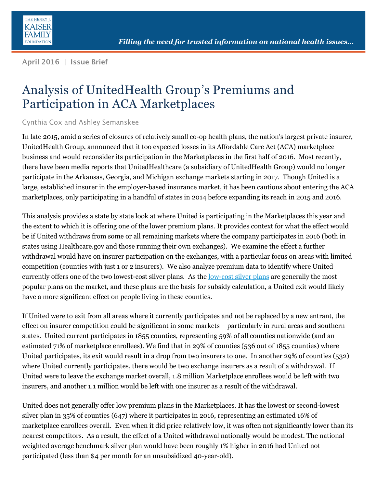

April 2016 | Issue Brief

# Analysis of UnitedHealth Group's Premiums and Participation in ACA Marketplaces

#### Cynthia Cox and Ashley Semanskee

In late 2015, amid a series of closures of relatively small co-op health plans, the nation's largest private insurer, UnitedHealth Group, announced that it too expected losses in its Affordable Care Act (ACA) marketplace business and would reconsider its participation in the Marketplaces in the first half of 2016. Most recently, there have been media reports that UnitedHealthcare (a subsidiary of UnitedHealth Group) would no longer participate in the Arkansas, Georgia, and Michigan exchange markets starting in 2017. Though United is a large, established insurer in the employer-based insurance market, it has been cautious about entering the ACA marketplaces, only participating in a handful of states in 2014 before expanding its reach in 2015 and 2016.

This analysis provides a state by state look at where United is participating in the Marketplaces this year and the extent to which it is offering one of the lower premium plans. It provides context for what the effect would be if United withdraws from some or all remaining markets where the company participates in 2016 (both in states using Healthcare.gov and those running their own exchanges). We examine the effect a further withdrawal would have on insurer participation on the exchanges, with a particular focus on areas with limited competition (counties with just 1 or 2 insurers). We also analyze premium data to identify where United currently offers one of the two lowest-cost silver plans. As the <u>[low-cost silver plans](https://aspe.hhs.gov/sites/default/files/pdf/135461/2016%20Marketplace%20Premium%20Landscape%20Issue%20Brief%2010-30-15%20FINAL.pdf)</u> are generally the most popular plans on the market, and these plans are the basis for subsidy calculation, a United exit would likely have a more significant effect on people living in these counties.

If United were to exit from all areas where it currently participates and not be replaced by a new entrant, the effect on insurer competition could be significant in some markets – particularly in rural areas and southern states. United current participates in 1855 counties, representing 59% of all counties nationwide (and an estimated 71% of marketplace enrollees). We find that in 29% of counties (536 out of 1855 counties) where United participates, its exit would result in a drop from two insurers to one. In another 29% of counties (532) where United currently participates, there would be two exchange insurers as a result of a withdrawal. If United were to leave the exchange market overall, 1.8 million Marketplace enrollees would be left with two insurers, and another 1.1 million would be left with one insurer as a result of the withdrawal.

United does not generally offer low premium plans in the Marketplaces. It has the lowest or second-lowest silver plan in 35% of counties (647) where it participates in 2016, representing an estimated 16% of marketplace enrollees overall. Even when it did price relatively low, it was often not significantly lower than its nearest competitors. As a result, the effect of a United withdrawal nationally would be modest. The national weighted average benchmark silver plan would have been roughly 1% higher in 2016 had United not participated (less than \$4 per month for an unsubsidized 40-year-old).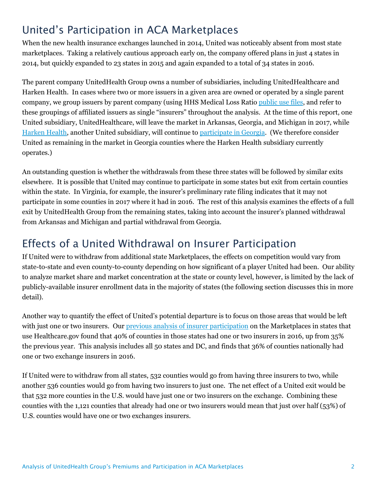# United's Participation in ACA Marketplaces

When the new health insurance exchanges launched in 2014, United was noticeably absent from most state marketplaces. Taking a relatively cautious approach early on, the company offered plans in just 4 states in 2014, but quickly expanded to 23 states in 2015 and again expanded to a total of 34 states in 2016.

The parent company UnitedHealth Group owns a number of subsidiaries, including UnitedHealthcare and Harken Health. In cases where two or more issuers in a given area are owned or operated by a single parent company, we group issuers by parent company (using HHS Medical Loss Ratio [public use files,](https://www.cms.gov/CCIIO/Resources/Data-Resources/mlr.html) and refer to these groupings of affiliated issuers as single "insurers" throughout the analysis. At the time of this report, one United subsidiary, UnitedHealthcare, will leave the market in Arkansas, Georgia, and Michigan in 2017, while [Harken Health,](http://khn.org/news/unitedhealth-tries-boutique-style-health-plan/) another United subsidiary, will continue to [participate in Georgia.](http://www.georgiahealthnews.com/2016/04/united-quitting-georgia-insurance-exchange-year/) (We therefore consider United as remaining in the market in Georgia counties where the Harken Health subsidiary currently operates.)

An outstanding question is whether the withdrawals from these three states will be followed by similar exits elsewhere. It is possible that United may continue to participate in some states but exit from certain counties within the state. In Virginia, for example, the insurer's preliminary rate filing indicates that it may not participate in some counties in 2017 where it had in 2016. The rest of this analysis examines the effects of a full exit by UnitedHealth Group from the remaining states, taking into account the insurer's planned withdrawal from Arkansas and Michigan and partial withdrawal from Georgia.

### Effects of a United Withdrawal on Insurer Participation

If United were to withdraw from additional state Marketplaces, the effects on competition would vary from state-to-state and even county-to-county depending on how significant of a player United had been. Our ability to analyze market share and market concentration at the state or county level, however, is limited by the lack of publicly-available insurer enrollment data in the majority of states (the following section discusses this in more detail).

Another way to quantify the effect of United's potential departure is to focus on those areas that would be left with just one or two insurers. Ou[r previous analysis of insurer participation](http://kff.org/health-reform/issue-brief/analysis-of-insurer-participation-in-2016-marketplaces/) on the Marketplaces in states that use Healthcare.gov found that 40% of counties in those states had one or two insurers in 2016, up from 35% the previous year. This analysis includes all 50 states and DC, and finds that 36% of counties nationally had one or two exchange insurers in 2016.

If United were to withdraw from all states, 532 counties would go from having three insurers to two, while another 536 counties would go from having two insurers to just one. The net effect of a United exit would be that 532 more counties in the U.S. would have just one or two insurers on the exchange. Combining these counties with the 1,121 counties that already had one or two insurers would mean that just over half (53%) of U.S. counties would have one or two exchanges insurers.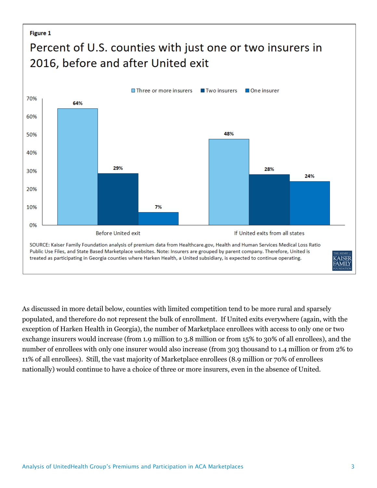#### **Figure 1**

# Percent of U.S. counties with just one or two insurers in 2016, before and after United exit



As discussed in more detail below, counties with limited competition tend to be more rural and sparsely populated, and therefore do not represent the bulk of enrollment. If United exits everywhere (again, with the exception of Harken Health in Georgia), the number of Marketplace enrollees with access to only one or two exchange insurers would increase (from 1.9 million to 3.8 million or from 15% to 30% of all enrollees), and the number of enrollees with only one insurer would also increase (from 303 thousand to 1.4 million or from 2% to 11% of all enrollees). Still, the vast majority of Marketplace enrollees (8.9 million or 70% of enrollees nationally) would continue to have a choice of three or more insurers, even in the absence of United.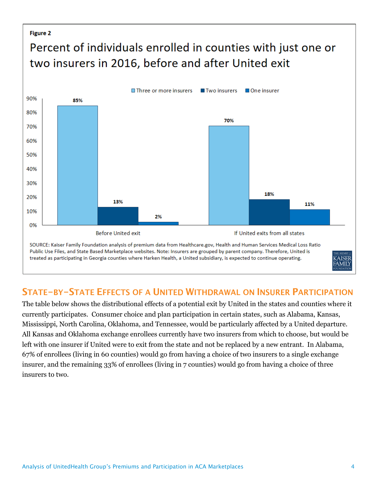#### Figure 2

# Percent of individuals enrolled in counties with just one or two insurers in 2016, before and after United exit



### STATE-BY-STATE EFFECTS OF A UNITED WITHDRAWAL ON INSURER PARTICIPATION

The table below shows the distributional effects of a potential exit by United in the states and counties where it currently participates. Consumer choice and plan participation in certain states, such as Alabama, Kansas, Mississippi, North Carolina, Oklahoma, and Tennessee, would be particularly affected by a United departure. All Kansas and Oklahoma exchange enrollees currently have two insurers from which to choose, but would be left with one insurer if United were to exit from the state and not be replaced by a new entrant. In Alabama, 67% of enrollees (living in 60 counties) would go from having a choice of two insurers to a single exchange insurer, and the remaining 33% of enrollees (living in 7 counties) would go from having a choice of three insurers to two.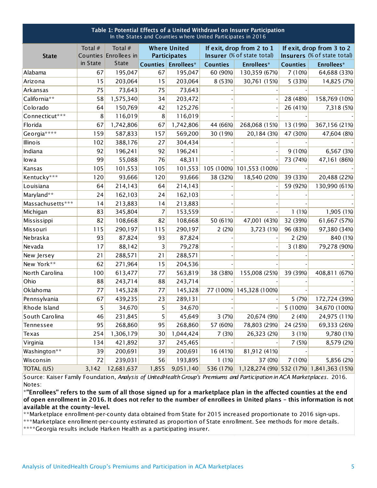| Table 1: Potential Effects of a United Withdrawl on Insurer Participation<br>In the States and Counties where United Participates in 2016 |          |                                  |                                            |            |                                                         |                           |                                                          |                                          |  |  |  |  |
|-------------------------------------------------------------------------------------------------------------------------------------------|----------|----------------------------------|--------------------------------------------|------------|---------------------------------------------------------|---------------------------|----------------------------------------------------------|------------------------------------------|--|--|--|--|
| <b>State</b>                                                                                                                              | Total #  | Total #<br>Counties Enrollees in | <b>Where United</b><br><b>Participates</b> |            | If exit, drop from 2 to 1<br>Insurer (% of state total) |                           | If exit, drop from 3 to 2<br>Insurers (% of state total) |                                          |  |  |  |  |
|                                                                                                                                           | in State | <b>State</b>                     | <b>Counties</b>                            | Enrollees* | <b>Counties</b>                                         | <b>Enrollees*</b>         | <b>Counties</b>                                          | Enrollees*                               |  |  |  |  |
| Alabama                                                                                                                                   | 67       | 195,047                          | 67                                         | 195,047    | 60 (90%)                                                | 130,359 (67%)             | 7 (10%)                                                  | 64,688 (33%)                             |  |  |  |  |
| Arizona                                                                                                                                   | 15       | 203,064                          | 15                                         | 203,064    | 8 (53%)                                                 | 30,761 (15%)              | 5 (33%)                                                  | 14,825 (7%)                              |  |  |  |  |
| Arkansas                                                                                                                                  | 75       | 73,643                           | 75                                         | 73,643     |                                                         |                           |                                                          |                                          |  |  |  |  |
| California**                                                                                                                              | 58       | 1,575,340                        | 34                                         | 203,472    |                                                         |                           | 28 (48%)                                                 | 158,769 (10%)                            |  |  |  |  |
| Colorado                                                                                                                                  | 64       | 150,769                          | 42                                         | 125,276    |                                                         |                           | 26 (41%)                                                 | 7,318 (5%)                               |  |  |  |  |
| Connecticut***                                                                                                                            | 8        | 116,019                          | 8                                          | 116,019    |                                                         |                           |                                                          |                                          |  |  |  |  |
| Florida                                                                                                                                   | 67       | 1,742,806                        | 67                                         | 1,742,806  | 44 (66%)                                                | 268,068 (15%)             | 13 (19%)                                                 | 367,156 (21%)                            |  |  |  |  |
| Georgia****                                                                                                                               | 159      | 587,833                          | 157                                        | 569,200    | 30 (19%)                                                | 20,184 (3%)               | 47 (30%)                                                 | 47,604 (8%)                              |  |  |  |  |
| Illinois                                                                                                                                  | 102      | 388,176                          | 27                                         | 304,434    |                                                         |                           |                                                          |                                          |  |  |  |  |
| Indiana                                                                                                                                   | 92       | 196,241                          | 92                                         | 196,241    |                                                         |                           | 9 (10%)                                                  | 6,567 (3%)                               |  |  |  |  |
| lowa                                                                                                                                      | 99       | 55,088                           | 76                                         | 48,311     |                                                         |                           | 73 (74%)                                                 | 47,161 (86%)                             |  |  |  |  |
| Kansas                                                                                                                                    | 105      | 101,553                          | 105                                        | 101,553    |                                                         | 105 (100%) 101,553 (100%) |                                                          |                                          |  |  |  |  |
| Kentucky***                                                                                                                               | 120      | 93,666                           | 120                                        | 93,666     | 38 (32%)                                                | 18,540 (20%)              | 39 (33%)                                                 | 20,488 (22%)                             |  |  |  |  |
| Louisiana                                                                                                                                 | 64       | 214,143                          | 64                                         | 214,143    |                                                         |                           | 59 (92%)                                                 | 130,990 (61%)                            |  |  |  |  |
| Maryland**                                                                                                                                | 24       | 162,103                          | 24                                         | 162,103    |                                                         |                           |                                                          |                                          |  |  |  |  |
| Massachusetts***                                                                                                                          | 14       | 213,883                          | 14                                         | 213,883    |                                                         |                           |                                                          |                                          |  |  |  |  |
| Michigan                                                                                                                                  | 83       | 345,804                          | 7                                          | 153,559    |                                                         |                           | 1(1%)                                                    | 1,905 (1%)                               |  |  |  |  |
| Mississippi                                                                                                                               | 82       | 108,668                          | 82                                         | 108,668    | 50 (61%)                                                | 47,001 (43%)              | 32 (39%)                                                 | 61,667 (57%)                             |  |  |  |  |
| Missouri                                                                                                                                  | 115      | 290,197                          | 115                                        | 290,197    | 2(2%)                                                   | 3,723 (1%)                | 96 (83%)                                                 | 97,380 (34%)                             |  |  |  |  |
| Nebraska                                                                                                                                  | 93       | 87,824                           | 93                                         | 87,824     |                                                         |                           | 2(2%)                                                    | 840 (1%)                                 |  |  |  |  |
| Nevada                                                                                                                                    | 17       | 88,142                           | 3                                          | 79,278     |                                                         |                           | 3 (18%)                                                  | 79,278 (90%)                             |  |  |  |  |
| New Jersey                                                                                                                                | 21       | 288,571                          | 21                                         | 288,571    |                                                         |                           |                                                          |                                          |  |  |  |  |
| New York**                                                                                                                                | 62       | 271,964                          | 15                                         | 204,536    |                                                         |                           |                                                          |                                          |  |  |  |  |
| North Carolina                                                                                                                            | 100      | 613,477                          | 77                                         | 563,819    | 38 (38%)                                                | 155,008 (25%)             | 39 (39%)                                                 | 408,811 (67%)                            |  |  |  |  |
| Ohio                                                                                                                                      | 88       | 243,714                          | 88                                         | 243,714    |                                                         |                           |                                                          |                                          |  |  |  |  |
| Oklahoma                                                                                                                                  | 77       | 145,328                          | 77                                         | 145,328    |                                                         | 77 (100%) 145,328 (100%)  |                                                          |                                          |  |  |  |  |
| Pennsylvania                                                                                                                              | 67       | 439,235                          | 23                                         | 289,131    |                                                         |                           | 5 (7%)                                                   | 172,724 (39%)                            |  |  |  |  |
| Rhode Island                                                                                                                              | 5        | 34,670                           | 5                                          | 34,670     |                                                         |                           | 5 (100%)                                                 | 34,670 (100%)                            |  |  |  |  |
| South Carolina                                                                                                                            | 46       | 231,845                          | 5                                          | 45,649     | 3 (7%)                                                  | 20,674 (9%)               | 2(4%)                                                    | 24,975 (11%)                             |  |  |  |  |
| Tennessee                                                                                                                                 | 95       | 268,860                          | 95                                         | 268,860    | 57 (60%)                                                | 78,803 (29%)              | 24 (25%)                                                 | 69,333 (26%)                             |  |  |  |  |
| Texas                                                                                                                                     | 254      | 1,306,179                        | 30                                         | 1,044,424  | 7 (3%)                                                  | 26,323 (2%)               | 3(1%)                                                    | 9,780 (1%)                               |  |  |  |  |
| Virginia                                                                                                                                  | 134      | 421,892                          | 37                                         | 245,465    |                                                         |                           | 7 (5%)                                                   | 8,579 (2%)                               |  |  |  |  |
| Washington**                                                                                                                              | 39       | 200,691                          | 39                                         | 200,691    | 16 (41%)                                                | 81,912 (41%)              |                                                          |                                          |  |  |  |  |
| Wisconsin                                                                                                                                 | 72       | 239,031                          | 56                                         | 193,895    | 1(1%)                                                   | 37 (0%)                   | 7 (10%)                                                  | 5,856 (2%)                               |  |  |  |  |
| TOTAL (US)                                                                                                                                | 3,142    | 12,681,637                       | 1,855                                      | 9,051,140  | 536 (17%)                                               |                           |                                                          | 1,128,274 (9%) 532 (17%) 1,841,363 (15%) |  |  |  |  |

Source: Kaiser Family Foundation, *Analysis of UnitedHealth Group's Premiums and Participation in ACA Marketplaces.* 2016. Notes:

\*"Enrollees" refers to the sum of all those signed up for a marketplace plan in the affected counties at the end of open enrollment in 2016. It does not refer to the number of enrollees in United plans - this information is not available at the county-level.

\*\*Marketplace enrollment-per-county data obtained from State for 2015 increased proportionate to 2016 sign-ups.

\*\*\*Marketplace enrollment-per-county estimated as proportion of State enrollment. See methods for more details.

\*\*\*\*Georgia results include Harken Health as a participating insurer.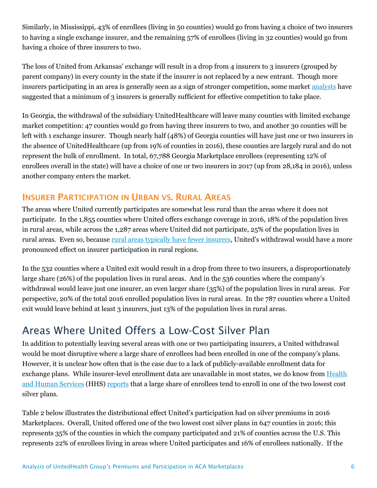Similarly, in Mississippi, 43% of enrollees (living in 50 counties) would go from having a choice of two insurers to having a single exchange insurer, and the remaining 57% of enrollees (living in 32 counties) would go from having a choice of three insurers to two.

The loss of United from Arkansas' exchange will result in a drop from 4 insurers to 3 insurers (grouped by parent company) in every county in the state if the insurer is not replaced by a new entrant. Though more insurers participating in an area is generally seen as a sign of stronger competition, some market [analysts](https://www.chicagofed.org/publications/economic-perspectives/2002/4qepart2) have suggested that a minimum of 3 insurers is generally sufficient for effective competition to take place.

In Georgia, the withdrawal of the subsidiary UnitedHealthcare will leave many counties with limited exchange market competition: 47 counties would go from having three insurers to two, and another 30 counties will be left with 1 exchange insurer. Though nearly half (48%) of Georgia counties will have just one or two insurers in the absence of UnitedHealthcare (up from 19% of counties in 2016), these counties are largely rural and do not represent the bulk of enrollment. In total, 67,788 Georgia Marketplace enrollees (representing 12% of enrollees overall in the state) will have a choice of one or two insurers in 2017 (up from 28,184 in 2016), unless another company enters the market.

### **INSURER PARTICIPATION IN URBAN VS. RURAL AREAS**

The areas where United currently participates are somewhat less rural than the areas where it does not participate. In the 1,855 counties where United offers exchange coverage in 2016, 18% of the population lives in rural areas, while across the 1,287 areas where United did not participate, 25% of the population lives in rural areas. Even so, because [rural areas typically have fewer insurers,](http://kff.org/health-reform/issue-brief/analysis-of-insurer-participation-in-2016-marketplaces/) United's withdrawal would have a more pronounced effect on insurer participation in rural regions.

In the 532 counties where a United exit would result in a drop from three to two insurers, a disproportionately large share (26%) of the population lives in rural areas. And in the 536 counties where the company's withdrawal would leave just one insurer, an even larger share (35%) of the population lives in rural areas. For perspective, 20% of the total 2016 enrolled population lives in rural areas. In the 787 counties where a United exit would leave behind at least 3 insurers, just 13% of the population lives in rural areas.

# Areas Where United Offers a Low-Cost Silver Plan

In addition to potentially leaving several areas with one or two participating insurers, a United withdrawal would be most disruptive where a large share of enrollees had been enrolled in one of the company's plans. However, it is unclear how often that is the case due to a lack of publicly-available enrollment data for exchange plans. While insurer-level enrollment data are unavailable in most states, we do know from [Health](https://aspe.hhs.gov/pdf-report/premium-affordability-competition-and-choice-health-insurance-marketplace-2014)  [and Human Services](https://aspe.hhs.gov/pdf-report/premium-affordability-competition-and-choice-health-insurance-marketplace-2014) (HHS) [reports](https://aspe.hhs.gov/sites/default/files/pdf/135461/2016%20Marketplace%20Premium%20Landscape%20Issue%20Brief%2010-30-15%20FINAL.pdf) that a large share of enrollees tend to enroll in one of the two lowest cost silver plans.

Table 2 below illustrates the distributional effect United's participation had on silver premiums in 2016 Marketplaces. Overall, United offered one of the two lowest cost silver plans in 647 counties in 2016; this represents 35% of the counties in which the company participated and 21% of counties across the U.S. This represents 22% of enrollees living in areas where United participates and 16% of enrollees nationally. If the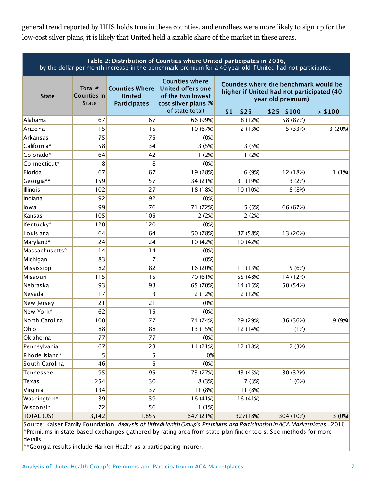general trend reported by HHS holds true in these counties, and enrollees were more likely to sign up for the low-cost silver plans, it is likely that United held a sizable share of the market in these areas.

| Table 2: Distribution of Counties where United participates in 2016,<br>by the dollar-per-month increase in the benchmark premium for a 40-year-old if United had not participated |                                        |                                                               |                                                                                                |                                                                                                         |              |         |  |  |  |  |
|------------------------------------------------------------------------------------------------------------------------------------------------------------------------------------|----------------------------------------|---------------------------------------------------------------|------------------------------------------------------------------------------------------------|---------------------------------------------------------------------------------------------------------|--------------|---------|--|--|--|--|
| <b>State</b>                                                                                                                                                                       | Total #<br>Counties in<br><b>State</b> | <b>Counties Where</b><br><b>United</b><br><b>Participates</b> | <b>Counties where</b><br><b>United offers one</b><br>of the two lowest<br>cost silver plans (% | Counties where the benchmark would be<br>higher if United had not participated (40<br>year old premium) |              |         |  |  |  |  |
|                                                                                                                                                                                    |                                        |                                                               | of state total)                                                                                | $$1 - $25$                                                                                              | $$25 - $100$ | > \$100 |  |  |  |  |
| Alabama                                                                                                                                                                            | 67                                     | 67                                                            | 66 (99%)                                                                                       | 8 (12%)                                                                                                 | 58 (87%)     |         |  |  |  |  |
| Arizona                                                                                                                                                                            | 15                                     | 15                                                            | 10 (67%)                                                                                       | 2(13%)                                                                                                  | 5 (33%)      | 3 (20%) |  |  |  |  |
| Arkansas                                                                                                                                                                           | 75                                     | 75                                                            | (0%)                                                                                           |                                                                                                         |              |         |  |  |  |  |
| California*                                                                                                                                                                        | 58                                     | 34                                                            | 3 (5%)                                                                                         | 3 (5%)                                                                                                  |              |         |  |  |  |  |
| Colorado*                                                                                                                                                                          | 64                                     | 42                                                            | 1(2%)                                                                                          | 1(2%)                                                                                                   |              |         |  |  |  |  |
| Connecticut*                                                                                                                                                                       | 8                                      | 8                                                             | (0%)                                                                                           |                                                                                                         |              |         |  |  |  |  |
| <b>Florida</b>                                                                                                                                                                     | 67                                     | 67                                                            | 19 (28%)                                                                                       | 6 (9%)                                                                                                  | 12 (18%)     | 1(1%)   |  |  |  |  |
| Georgia**                                                                                                                                                                          | 159                                    | 157                                                           | 34 (21%)                                                                                       | 31 (19%)                                                                                                | 3(2%)        |         |  |  |  |  |
| <b>Illinois</b>                                                                                                                                                                    | 102                                    | 27                                                            | 18 (18%)                                                                                       | 10 (10%)                                                                                                | 8 (8%)       |         |  |  |  |  |
| Indiana                                                                                                                                                                            | 92                                     | 92                                                            | (0%)                                                                                           |                                                                                                         |              |         |  |  |  |  |
| lowa                                                                                                                                                                               | 99                                     | 76                                                            | 71 (72%)                                                                                       | 5 (5%)                                                                                                  | 66 (67%)     |         |  |  |  |  |
| Kansas                                                                                                                                                                             | 105                                    | 105                                                           | 2(2%)                                                                                          | 2(2%)                                                                                                   |              |         |  |  |  |  |
| Kentucky*                                                                                                                                                                          | 120                                    | 120                                                           | (0%)                                                                                           |                                                                                                         |              |         |  |  |  |  |
| Louisiana                                                                                                                                                                          | 64                                     | 64                                                            | 50 (78%)                                                                                       | 37 (58%)                                                                                                | 13 (20%)     |         |  |  |  |  |
| Maryland*                                                                                                                                                                          | 24                                     | 24                                                            | 10 (42%)                                                                                       | 10 (42%)                                                                                                |              |         |  |  |  |  |
| Massachusetts*                                                                                                                                                                     | 14                                     | 14                                                            | (0%)                                                                                           |                                                                                                         |              |         |  |  |  |  |
| Michigan                                                                                                                                                                           | 83                                     | 7                                                             | (0%)                                                                                           |                                                                                                         |              |         |  |  |  |  |
| Mississippi                                                                                                                                                                        | 82                                     | 82                                                            | 16 (20%)                                                                                       | 11 (13%)                                                                                                | 5(6%)        |         |  |  |  |  |
| Missouri                                                                                                                                                                           | 115                                    | 115                                                           | 70 (61%)                                                                                       | 55 (48%)                                                                                                | 14 (12%)     |         |  |  |  |  |
| Nebraska                                                                                                                                                                           | 93                                     | 93                                                            | 65 (70%)                                                                                       | 14 (15%)                                                                                                | 50 (54%)     |         |  |  |  |  |
| Nevada                                                                                                                                                                             | 17                                     | 3                                                             | 2 (12%)                                                                                        | 2 (12%)                                                                                                 |              |         |  |  |  |  |
| New Jersey                                                                                                                                                                         | 21                                     | 21                                                            | (0%)                                                                                           |                                                                                                         |              |         |  |  |  |  |
| New York*                                                                                                                                                                          | 62                                     | 15                                                            | (0%)                                                                                           |                                                                                                         |              |         |  |  |  |  |
| North Carolina                                                                                                                                                                     | 100                                    | 77                                                            | 74 (74%)                                                                                       | 29 (29%)                                                                                                | 36 (36%)     | 9 (9%)  |  |  |  |  |
| Ohio                                                                                                                                                                               | 88                                     | 88                                                            | 13 (15%)                                                                                       | 12 (14%)                                                                                                | 1(1%)        |         |  |  |  |  |
| Oklahoma                                                                                                                                                                           | 77                                     | 77                                                            | (0%)                                                                                           |                                                                                                         |              |         |  |  |  |  |
| Pennsylvania                                                                                                                                                                       | 67                                     | 23                                                            | 14 (21%)                                                                                       | 12 (18%)                                                                                                | 2(3%)        |         |  |  |  |  |
| Rhode Island*                                                                                                                                                                      | 5                                      | 5                                                             | 0%                                                                                             |                                                                                                         |              |         |  |  |  |  |
| South Carolina                                                                                                                                                                     | 46                                     | 5                                                             | (0%)                                                                                           |                                                                                                         |              |         |  |  |  |  |
| Tennessee                                                                                                                                                                          | 95                                     | 95                                                            | 73 (77%)                                                                                       | 43 (45%)                                                                                                | 30 (32%)     |         |  |  |  |  |
| Texas                                                                                                                                                                              | 254                                    | 30                                                            | 8 (3%)                                                                                         | 7 (3%)                                                                                                  | 1(0%)        |         |  |  |  |  |
| Virginia                                                                                                                                                                           | 134                                    | 37                                                            | 11 (8%)                                                                                        | 11 (8%)                                                                                                 |              |         |  |  |  |  |
| Washington*                                                                                                                                                                        | 39                                     | 39                                                            | 16 (41%)                                                                                       | 16 (41%)                                                                                                |              |         |  |  |  |  |
| Wisconsin                                                                                                                                                                          | 72                                     | 56                                                            | 1(1%)                                                                                          |                                                                                                         |              |         |  |  |  |  |
| TOTAL (US)                                                                                                                                                                         | 3,142                                  | 1,855                                                         | 647 (21%)                                                                                      | 327(18%)                                                                                                | 304 (10%)    | 13 (0%) |  |  |  |  |

Source: Kaiser Family Foundation, *Analysis of UnitedHealth Group's Premiums and Participation in ACA Marketplaces* . 2016. \*Premiums in state-based exchanges gathered by rating area from state plan finder tools. See methods for more details.

\*\*Georgia results include Harken Health as a participating insurer.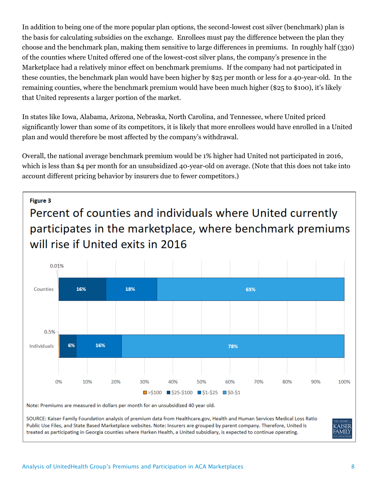In addition to being one of the more popular plan options, the second-lowest cost silver (benchmark) plan is the basis for calculating subsidies on the exchange. Enrollees must pay the difference between the plan they choose and the benchmark plan, making them sensitive to large differences in premiums. In roughly half (330) of the counties where United offered one of the lowest-cost silver plans, the company's presence in the Marketplace had a relatively minor effect on benchmark premiums. If the company had not participated in these counties, the benchmark plan would have been higher by \$25 per month or less for a 40-year-old. In the remaining counties, where the benchmark premium would have been much higher (\$25 to \$100), it's likely that United represents a larger portion of the market.

In states like Iowa, Alabama, Arizona, Nebraska, North Carolina, and Tennessee, where United priced significantly lower than some of its competitors, it is likely that more enrollees would have enrolled in a United plan and would therefore be most affected by the company's withdrawal.

Overall, the national average benchmark premium would be 1% higher had United not participated in 2016, which is less than \$4 per month for an unsubsidized 40-year-old on average. (Note that this does not take into account different pricing behavior by insurers due to fewer competitors.)



SOURCE: Kaiser Family Foundation analysis of premium data from Healthcare.gov, Health and Human Services Medical Loss Ratio Public Use Files, and State Based Marketplace websites. Note: Insurers are grouped by parent company. Therefore, United is treated as participating in Georgia counties where Harken Health, a United subsidiary, is expected to continue operating.

**AISER** AMILY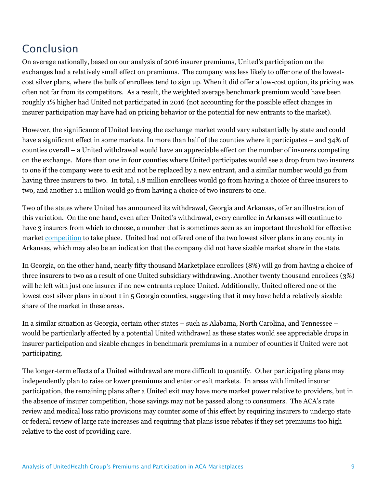# Conclusion

On average nationally, based on our analysis of 2016 insurer premiums, United's participation on the exchanges had a relatively small effect on premiums. The company was less likely to offer one of the lowestcost silver plans, where the bulk of enrollees tend to sign up. When it did offer a low-cost option, its pricing was often not far from its competitors. As a result, the weighted average benchmark premium would have been roughly 1% higher had United not participated in 2016 (not accounting for the possible effect changes in insurer participation may have had on pricing behavior or the potential for new entrants to the market).

However, the significance of United leaving the exchange market would vary substantially by state and could have a significant effect in some markets. In more than half of the counties where it participates – and 34% of counties overall – a United withdrawal would have an appreciable effect on the number of insurers competing on the exchange. More than one in four counties where United participates would see a drop from two insurers to one if the company were to exit and not be replaced by a new entrant, and a similar number would go from having three insurers to two. In total, 1.8 million enrollees would go from having a choice of three insurers to two, and another 1.1 million would go from having a choice of two insurers to one.

Two of the states where United has announced its withdrawal, Georgia and Arkansas, offer an illustration of this variation. On the one hand, even after United's withdrawal, every enrollee in Arkansas will continue to have 3 insurers from which to choose, a number that is sometimes seen as an important threshold for effective market [competition](https://aspe.hhs.gov/basic-report/competition-and-choice-health-insurance-marketplaces-2014-2015-impact-premiums) to take place. United had not offered one of the two lowest silver plans in any county in Arkansas, which may also be an indication that the company did not have sizable market share in the state.

In Georgia, on the other hand, nearly fifty thousand Marketplace enrollees (8%) will go from having a choice of three insurers to two as a result of one United subsidiary withdrawing. Another twenty thousand enrollees (3%) will be left with just one insurer if no new entrants replace United. Additionally, United offered one of the lowest cost silver plans in about 1 in 5 Georgia counties, suggesting that it may have held a relatively sizable share of the market in these areas.

In a similar situation as Georgia, certain other states – such as Alabama, North Carolina, and Tennessee – would be particularly affected by a potential United withdrawal as these states would see appreciable drops in insurer participation and sizable changes in benchmark premiums in a number of counties if United were not participating.

The longer-term effects of a United withdrawal are more difficult to quantify. Other participating plans may independently plan to raise or lower premiums and enter or exit markets. In areas with limited insurer participation, the remaining plans after a United exit may have more market power relative to providers, but in the absence of insurer competition, those savings may not be passed along to consumers. The ACA's rate review and medical loss ratio provisions may counter some of this effect by requiring insurers to undergo state or federal review of large rate increases and requiring that plans issue rebates if they set premiums too high relative to the cost of providing care.